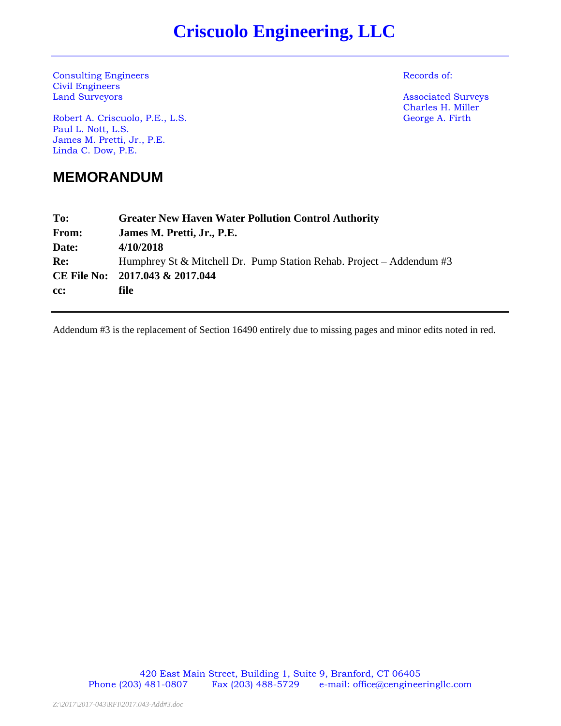# **Criscuolo Engineering, LLC**

**Consulting Engineers** Records of: Civil Engineers

Robert A. Criscuolo, P.E., L.S. George A. Firth Paul L. Nott, L.S. James M. Pretti, Jr., P.E. Linda C. Dow, P.E.

**MEMORANDUM** 

**Associated Surveys** Charles H. Miller

| To:   | <b>Greater New Haven Water Pollution Control Authority</b>              |
|-------|-------------------------------------------------------------------------|
| From: | James M. Pretti, Jr., P.E.                                              |
| Date: | 4/10/2018                                                               |
| Re:   | Humphrey St & Mitchell Dr. Pump Station Rehab. Project – Addendum $\#3$ |
|       | CE File No: 2017.043 & 2017.044                                         |
| cc:   | file                                                                    |
|       |                                                                         |

Addendum #3 is the replacement of Section 16490 entirely due to missing pages and minor edits noted in red.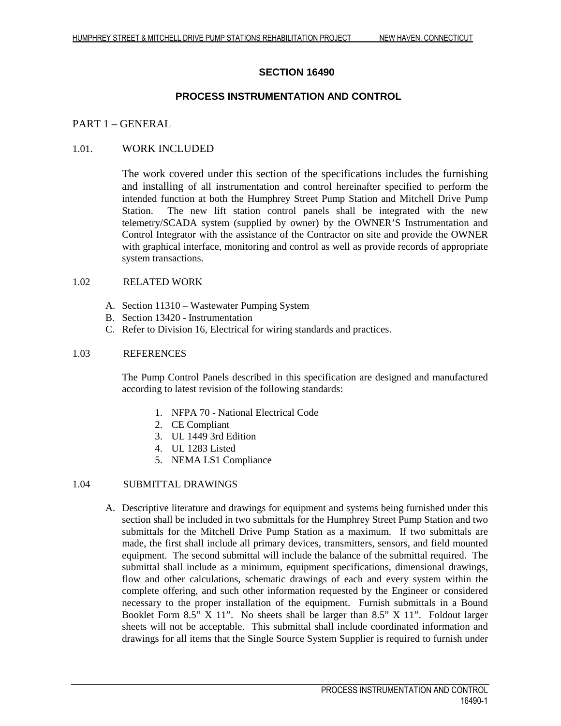# **SECTION 16490**

# **PROCESS INSTRUMENTATION AND CONTROL**

# PART 1 – GENERAL

# 1.01. WORK INCLUDED

The work covered under this section of the specifications includes the furnishing and installing of all instrumentation and control hereinafter specified to perform the intended function at both the Humphrey Street Pump Station and Mitchell Drive Pump Station. The new lift station control panels shall be integrated with the new telemetry/SCADA system (supplied by owner) by the OWNER'S Instrumentation and Control Integrator with the assistance of the Contractor on site and provide the OWNER with graphical interface, monitoring and control as well as provide records of appropriate system transactions.

#### 1.02 RELATED WORK

- A. Section 11310 Wastewater Pumping System
- B. Section 13420 Instrumentation
- C. Refer to Division 16, Electrical for wiring standards and practices.

#### 1.03 REFERENCES

The Pump Control Panels described in this specification are designed and manufactured according to latest revision of the following standards:

- 1. NFPA 70 National Electrical Code
- 2. CE Compliant
- 3. UL 1449 3rd Edition
- 4. UL 1283 Listed
- 5. NEMA LS1 Compliance

# 1.04 SUBMITTAL DRAWINGS

A. Descriptive literature and drawings for equipment and systems being furnished under this section shall be included in two submittals for the Humphrey Street Pump Station and two submittals for the Mitchell Drive Pump Station as a maximum. If two submittals are made, the first shall include all primary devices, transmitters, sensors, and field mounted equipment. The second submittal will include the balance of the submittal required. The submittal shall include as a minimum, equipment specifications, dimensional drawings, flow and other calculations, schematic drawings of each and every system within the complete offering, and such other information requested by the Engineer or considered necessary to the proper installation of the equipment. Furnish submittals in a Bound Booklet Form 8.5" X 11". No sheets shall be larger than 8.5" X 11". Foldout larger sheets will not be acceptable. This submittal shall include coordinated information and drawings for all items that the Single Source System Supplier is required to furnish under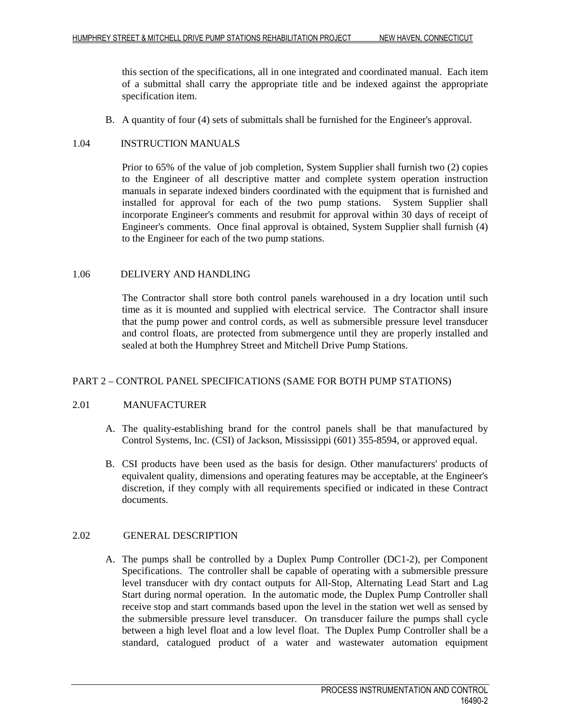this section of the specifications, all in one integrated and coordinated manual. Each item of a submittal shall carry the appropriate title and be indexed against the appropriate specification item.

B. A quantity of four (4) sets of submittals shall be furnished for the Engineer's approval.

#### 1.04 INSTRUCTION MANUALS

Prior to 65% of the value of job completion, System Supplier shall furnish two (2) copies to the Engineer of all descriptive matter and complete system operation instruction manuals in separate indexed binders coordinated with the equipment that is furnished and installed for approval for each of the two pump stations. System Supplier shall incorporate Engineer's comments and resubmit for approval within 30 days of receipt of Engineer's comments. Once final approval is obtained, System Supplier shall furnish (4) to the Engineer for each of the two pump stations.

#### 1.06 DELIVERY AND HANDLING

The Contractor shall store both control panels warehoused in a dry location until such time as it is mounted and supplied with electrical service. The Contractor shall insure that the pump power and control cords, as well as submersible pressure level transducer and control floats, are protected from submergence until they are properly installed and sealed at both the Humphrey Street and Mitchell Drive Pump Stations.

# PART 2 – CONTROL PANEL SPECIFICATIONS (SAME FOR BOTH PUMP STATIONS)

#### 2.01 MANUFACTURER

- A. The quality-establishing brand for the control panels shall be that manufactured by Control Systems, Inc. (CSI) of Jackson, Mississippi (601) 355-8594, or approved equal.
- B. CSI products have been used as the basis for design. Other manufacturers' products of equivalent quality, dimensions and operating features may be acceptable, at the Engineer's discretion, if they comply with all requirements specified or indicated in these Contract documents.

#### 2.02 GENERAL DESCRIPTION

A. The pumps shall be controlled by a Duplex Pump Controller (DC1-2), per Component Specifications. The controller shall be capable of operating with a submersible pressure level transducer with dry contact outputs for All-Stop, Alternating Lead Start and Lag Start during normal operation. In the automatic mode, the Duplex Pump Controller shall receive stop and start commands based upon the level in the station wet well as sensed by the submersible pressure level transducer. On transducer failure the pumps shall cycle between a high level float and a low level float. The Duplex Pump Controller shall be a standard, catalogued product of a water and wastewater automation equipment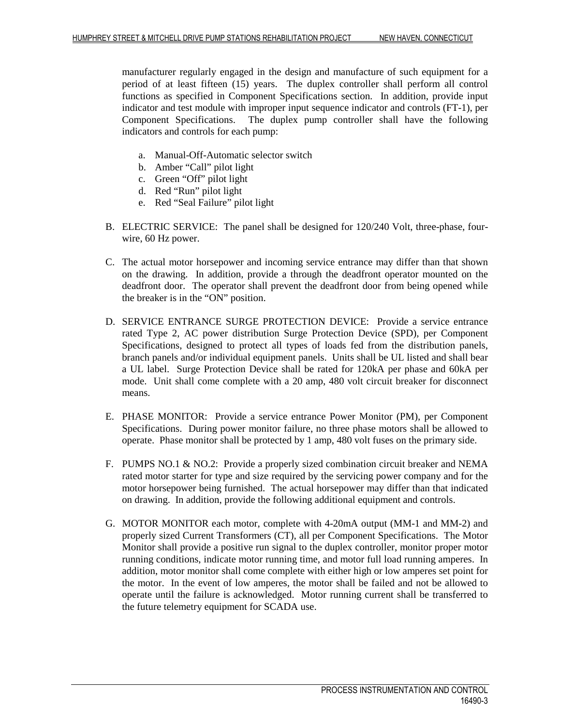manufacturer regularly engaged in the design and manufacture of such equipment for a period of at least fifteen (15) years. The duplex controller shall perform all control functions as specified in Component Specifications section. In addition, provide input indicator and test module with improper input sequence indicator and controls (FT-1), per Component Specifications. The duplex pump controller shall have the following indicators and controls for each pump:

- a. Manual-Off-Automatic selector switch
- b. Amber "Call" pilot light
- c. Green "Off" pilot light
- d. Red "Run" pilot light
- e. Red "Seal Failure" pilot light
- B. ELECTRIC SERVICE: The panel shall be designed for 120/240 Volt, three-phase, fourwire, 60 Hz power.
- C. The actual motor horsepower and incoming service entrance may differ than that shown on the drawing. In addition, provide a through the deadfront operator mounted on the deadfront door. The operator shall prevent the deadfront door from being opened while the breaker is in the "ON" position.
- D. SERVICE ENTRANCE SURGE PROTECTION DEVICE: Provide a service entrance rated Type 2, AC power distribution Surge Protection Device (SPD), per Component Specifications, designed to protect all types of loads fed from the distribution panels, branch panels and/or individual equipment panels. Units shall be UL listed and shall bear a UL label. Surge Protection Device shall be rated for 120kA per phase and 60kA per mode. Unit shall come complete with a 20 amp, 480 volt circuit breaker for disconnect means.
- E. PHASE MONITOR: Provide a service entrance Power Monitor (PM), per Component Specifications. During power monitor failure, no three phase motors shall be allowed to operate. Phase monitor shall be protected by 1 amp, 480 volt fuses on the primary side.
- F. PUMPS NO.1 & NO.2: Provide a properly sized combination circuit breaker and NEMA rated motor starter for type and size required by the servicing power company and for the motor horsepower being furnished. The actual horsepower may differ than that indicated on drawing. In addition, provide the following additional equipment and controls.
- G. MOTOR MONITOR each motor, complete with 4-20mA output (MM-1 and MM-2) and properly sized Current Transformers (CT), all per Component Specifications. The Motor Monitor shall provide a positive run signal to the duplex controller, monitor proper motor running conditions, indicate motor running time, and motor full load running amperes. In addition, motor monitor shall come complete with either high or low amperes set point for the motor. In the event of low amperes, the motor shall be failed and not be allowed to operate until the failure is acknowledged. Motor running current shall be transferred to the future telemetry equipment for SCADA use.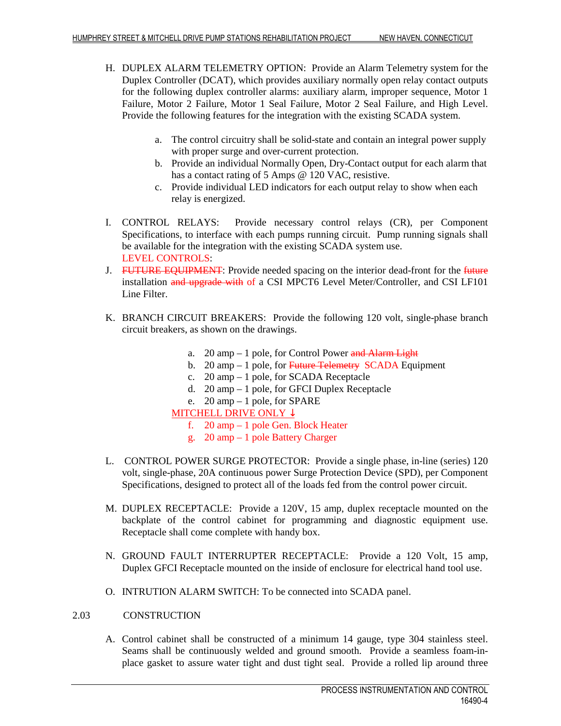- H. DUPLEX ALARM TELEMETRY OPTION: Provide an Alarm Telemetry system for the Duplex Controller (DCAT), which provides auxiliary normally open relay contact outputs for the following duplex controller alarms: auxiliary alarm, improper sequence, Motor 1 Failure, Motor 2 Failure, Motor 1 Seal Failure, Motor 2 Seal Failure, and High Level. Provide the following features for the integration with the existing SCADA system.
	- a. The control circuitry shall be solid-state and contain an integral power supply with proper surge and over-current protection.
	- b. Provide an individual Normally Open, Dry-Contact output for each alarm that has a contact rating of 5 Amps @ 120 VAC, resistive.
	- c. Provide individual LED indicators for each output relay to show when each relay is energized.
- I. CONTROL RELAYS: Provide necessary control relays (CR), per Component Specifications, to interface with each pumps running circuit. Pump running signals shall be available for the integration with the existing SCADA system use. LEVEL CONTROLS:
- J. FUTURE EQUIPMENT: Provide needed spacing on the interior dead-front for the future installation and upgrade with of a CSI MPCT6 Level Meter/Controller, and CSI LF101 Line Filter.
- K. BRANCH CIRCUIT BREAKERS: Provide the following 120 volt, single-phase branch circuit breakers, as shown on the drawings.
	- a.  $20 \text{ amp} 1 \text{ pole}$ , for Control Power and Alarm Light
	- b. 20 amp  $-1$  pole, for Future Telemetry SCADA Equipment
	- c. 20 amp 1 pole, for SCADA Receptacle
	- d. 20 amp 1 pole, for GFCI Duplex Receptacle
	- e. 20 amp 1 pole, for SPARE

# MITCHELL DRIVE ONLY ↓

- f. 20 amp 1 pole Gen. Block Heater
- g. 20 amp 1 pole Battery Charger
- L. CONTROL POWER SURGE PROTECTOR: Provide a single phase, in-line (series) 120 volt, single-phase, 20A continuous power Surge Protection Device (SPD), per Component Specifications, designed to protect all of the loads fed from the control power circuit.
- M. DUPLEX RECEPTACLE: Provide a 120V, 15 amp, duplex receptacle mounted on the backplate of the control cabinet for programming and diagnostic equipment use. Receptacle shall come complete with handy box.
- N. GROUND FAULT INTERRUPTER RECEPTACLE: Provide a 120 Volt, 15 amp, Duplex GFCI Receptacle mounted on the inside of enclosure for electrical hand tool use.
- O. INTRUTION ALARM SWITCH: To be connected into SCADA panel.

# 2.03 CONSTRUCTION

A. Control cabinet shall be constructed of a minimum 14 gauge, type 304 stainless steel. Seams shall be continuously welded and ground smooth. Provide a seamless foam-inplace gasket to assure water tight and dust tight seal. Provide a rolled lip around three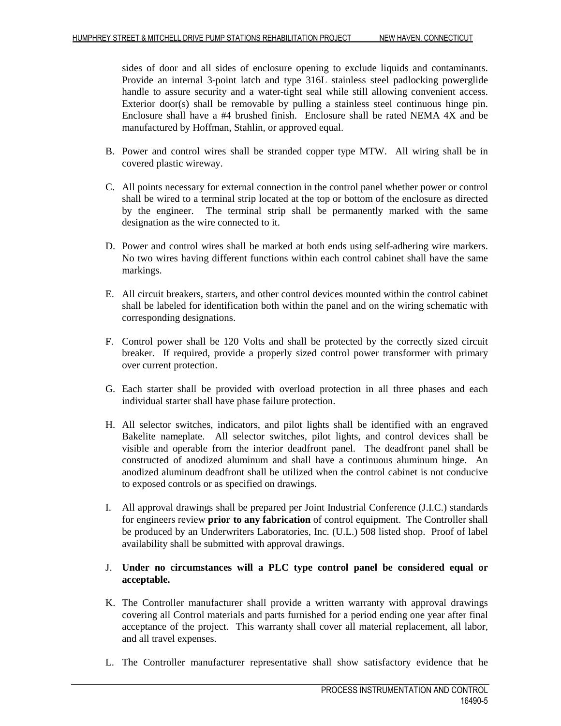sides of door and all sides of enclosure opening to exclude liquids and contaminants. Provide an internal 3-point latch and type 316L stainless steel padlocking powerglide handle to assure security and a water-tight seal while still allowing convenient access. Exterior door(s) shall be removable by pulling a stainless steel continuous hinge pin. Enclosure shall have a #4 brushed finish. Enclosure shall be rated NEMA 4X and be manufactured by Hoffman, Stahlin, or approved equal.

- B. Power and control wires shall be stranded copper type MTW. All wiring shall be in covered plastic wireway.
- C. All points necessary for external connection in the control panel whether power or control shall be wired to a terminal strip located at the top or bottom of the enclosure as directed by the engineer. The terminal strip shall be permanently marked with the same designation as the wire connected to it.
- D. Power and control wires shall be marked at both ends using self-adhering wire markers. No two wires having different functions within each control cabinet shall have the same markings.
- E. All circuit breakers, starters, and other control devices mounted within the control cabinet shall be labeled for identification both within the panel and on the wiring schematic with corresponding designations.
- F. Control power shall be 120 Volts and shall be protected by the correctly sized circuit breaker. If required, provide a properly sized control power transformer with primary over current protection.
- G. Each starter shall be provided with overload protection in all three phases and each individual starter shall have phase failure protection.
- H. All selector switches, indicators, and pilot lights shall be identified with an engraved Bakelite nameplate. All selector switches, pilot lights, and control devices shall be visible and operable from the interior deadfront panel. The deadfront panel shall be constructed of anodized aluminum and shall have a continuous aluminum hinge. An anodized aluminum deadfront shall be utilized when the control cabinet is not conducive to exposed controls or as specified on drawings.
- I. All approval drawings shall be prepared per Joint Industrial Conference (J.I.C.) standards for engineers review **prior to any fabrication** of control equipment. The Controller shall be produced by an Underwriters Laboratories, Inc. (U.L.) 508 listed shop. Proof of label availability shall be submitted with approval drawings.

# J. **Under no circumstances will a PLC type control panel be considered equal or acceptable.**

- K. The Controller manufacturer shall provide a written warranty with approval drawings covering all Control materials and parts furnished for a period ending one year after final acceptance of the project. This warranty shall cover all material replacement, all labor, and all travel expenses.
- L. The Controller manufacturer representative shall show satisfactory evidence that he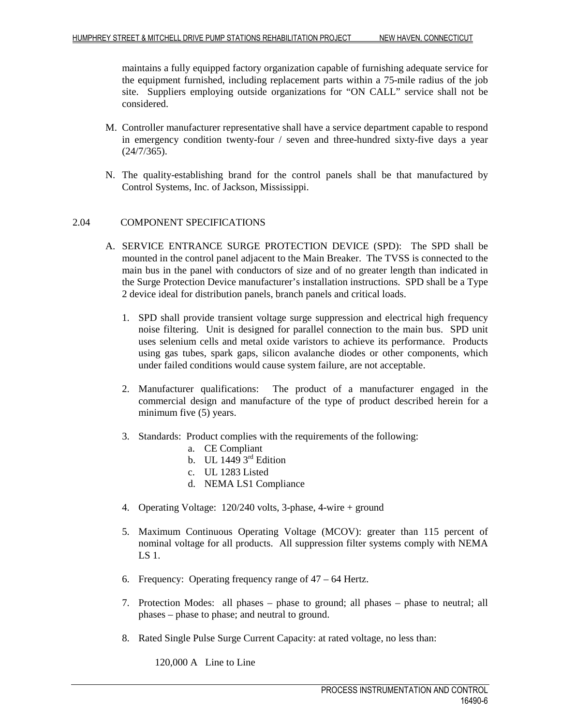maintains a fully equipped factory organization capable of furnishing adequate service for the equipment furnished, including replacement parts within a 75-mile radius of the job site. Suppliers employing outside organizations for "ON CALL" service shall not be considered.

- M. Controller manufacturer representative shall have a service department capable to respond in emergency condition twenty-four / seven and three-hundred sixty-five days a year (24/7/365).
- N. The quality-establishing brand for the control panels shall be that manufactured by Control Systems, Inc. of Jackson, Mississippi.

#### 2.04 COMPONENT SPECIFICATIONS

- A. SERVICE ENTRANCE SURGE PROTECTION DEVICE (SPD): The SPD shall be mounted in the control panel adjacent to the Main Breaker. The TVSS is connected to the main bus in the panel with conductors of size and of no greater length than indicated in the Surge Protection Device manufacturer's installation instructions. SPD shall be a Type 2 device ideal for distribution panels, branch panels and critical loads.
	- 1. SPD shall provide transient voltage surge suppression and electrical high frequency noise filtering. Unit is designed for parallel connection to the main bus. SPD unit uses selenium cells and metal oxide varistors to achieve its performance. Products using gas tubes, spark gaps, silicon avalanche diodes or other components, which under failed conditions would cause system failure, are not acceptable.
	- 2. Manufacturer qualifications: The product of a manufacturer engaged in the commercial design and manufacture of the type of product described herein for a minimum five (5) years.
	- 3. Standards: Product complies with the requirements of the following:
		- a. CE Compliant
		- b. UL 1449  $3<sup>rd</sup>$  Edition
		- c. UL 1283 Listed
		- d. NEMA LS1 Compliance
	- 4. Operating Voltage: 120/240 volts, 3-phase, 4-wire + ground
	- 5. Maximum Continuous Operating Voltage (MCOV): greater than 115 percent of nominal voltage for all products. All suppression filter systems comply with NEMA LS 1.
	- 6. Frequency: Operating frequency range of 47 64 Hertz.
	- 7. Protection Modes: all phases phase to ground; all phases phase to neutral; all phases – phase to phase; and neutral to ground.
	- 8. Rated Single Pulse Surge Current Capacity: at rated voltage, no less than:

120,000 A Line to Line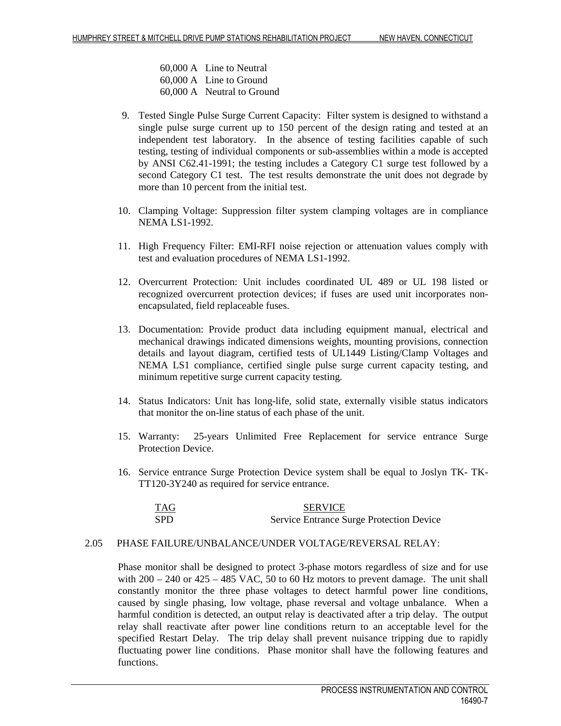60,000 A Line to Neutral 60,000 A Line to Ground 60,000 A Neutral to Ground

- 9. Tested Single Pulse Surge Current Capacity: Filter system is designed to withstand a single pulse surge current up to 150 percent of the design rating and tested at an independent test laboratory. In the absence of testing facilities capable of such testing, testing of individual components or sub-assemblies within a mode is accepted by ANSI C62.41-1991; the testing includes a Category C1 surge test followed by a second Category C1 test. The test results demonstrate the unit does not degrade by more than 10 percent from the initial test.
- 10. Clamping Voltage: Suppression filter system clamping voltages are in compliance NEMA LS1-1992.
- 11. High Frequency Filter: EMI-RFI noise rejection or attenuation values comply with test and evaluation procedures of NEMA LS1-1992.
- 12. Overcurrent Protection: Unit includes coordinated UL 489 or UL 198 listed or recognized overcurrent protection devices; if fuses are used unit incorporates nonencapsulated, field replaceable fuses.
- 13. Documentation: Provide product data including equipment manual, electrical and mechanical drawings indicated dimensions weights, mounting provisions, connection details and layout diagram, certified tests of UL1449 Listing/Clamp Voltages and NEMA LS1 compliance, certified single pulse surge current capacity testing, and minimum repetitive surge current capacity testing.
- 14. Status Indicators: Unit has long-life, solid state, externally visible status indicators that monitor the on-line status of each phase of the unit.
- 15. Warranty: 25-years Unlimited Free Replacement for service entrance Surge Protection Device.
- 16. Service entrance Surge Protection Device system shall be equal to Joslyn TK- TK-TT120-3Y240 as required for service entrance.

| TAG        | <b>SERVICE</b>                                  |
|------------|-------------------------------------------------|
| <b>SPD</b> | <b>Service Entrance Surge Protection Device</b> |

#### 2.05 PHASE FAILURE/UNBALANCE/UNDER VOLTAGE/REVERSAL RELAY:

Phase monitor shall be designed to protect 3-phase motors regardless of size and for use with  $200 - 240$  or  $425 - 485$  VAC, 50 to 60 Hz motors to prevent damage. The unit shall constantly monitor the three phase voltages to detect harmful power line conditions, caused by single phasing, low voltage, phase reversal and voltage unbalance. When a harmful condition is detected, an output relay is deactivated after a trip delay. The output relay shall reactivate after power line conditions return to an acceptable level for the specified Restart Delay. The trip delay shall prevent nuisance tripping due to rapidly fluctuating power line conditions. Phase monitor shall have the following features and functions.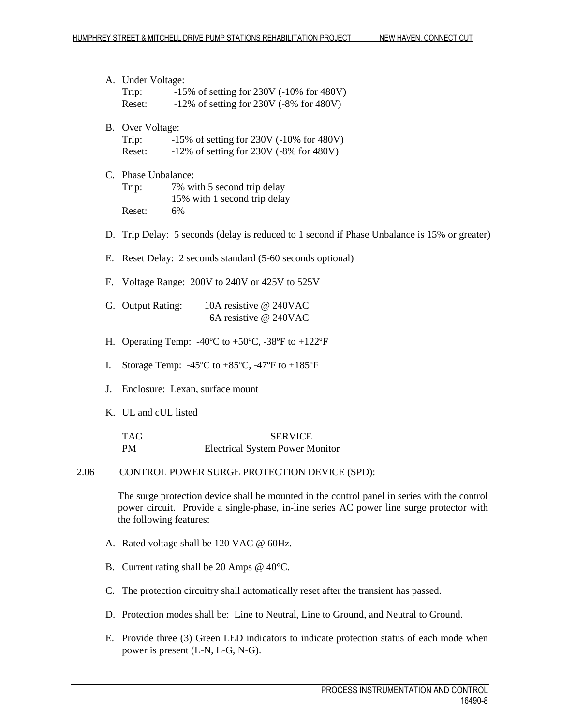A. Under Voltage: Trip: -15% of setting for 230V (-10% for 480V) Reset: -12% of setting for 230V (-8% for 480V) B. Over Voltage: Trip: -15% of setting for 230V (-10% for 480V) Reset: -12% of setting for 230V (-8% for 480V) C. Phase Unbalance: Trip: 7% with 5 second trip delay 15% with 1 second trip delay Reset: 6% D. Trip Delay: 5 seconds (delay is reduced to 1 second if Phase Unbalance is 15% or greater) E. Reset Delay: 2 seconds standard (5-60 seconds optional) F. Voltage Range: 200V to 240V or 425V to 525V G. Output Rating: 10A resistive @ 240VAC 6A resistive @ 240VAC H. Operating Temp:  $-40^{\circ}$ C to  $+50^{\circ}$ C,  $-38^{\circ}$ F to  $+122^{\circ}$ F I. Storage Temp:  $-45^{\circ}\text{C}$  to  $+85^{\circ}\text{C}$ ,  $-47^{\circ}\text{F}$  to  $+185^{\circ}\text{F}$ J. Enclosure: Lexan, surface mount K. UL and cUL listed TAG SERVICE PM Electrical System Power Monitor 2.06 CONTROL POWER SURGE PROTECTION DEVICE (SPD): The surge protection device shall be mounted in the control panel in series with the control power circuit. Provide a single-phase, in-line series AC power line surge protector with the following features: A. Rated voltage shall be 120 VAC @ 60Hz. B. Current rating shall be 20 Amps @ 40°C. C. The protection circuitry shall automatically reset after the transient has passed. D. Protection modes shall be: Line to Neutral, Line to Ground, and Neutral to Ground.

E. Provide three (3) Green LED indicators to indicate protection status of each mode when power is present (L-N, L-G, N-G).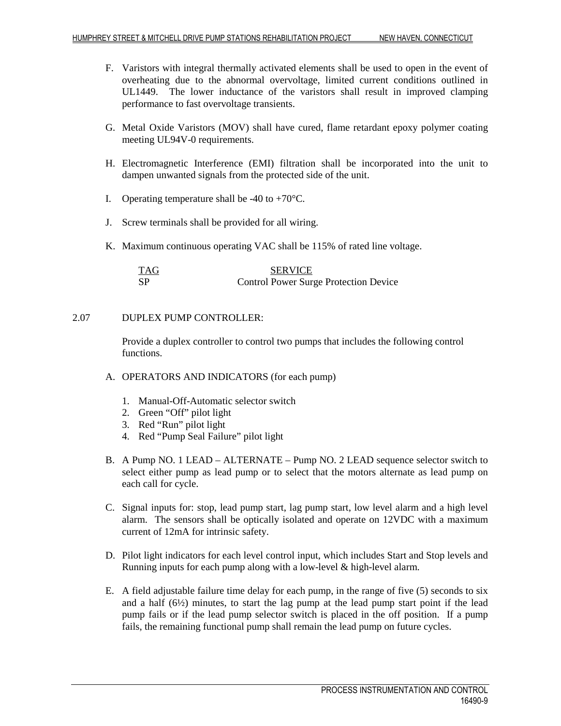- F. Varistors with integral thermally activated elements shall be used to open in the event of overheating due to the abnormal overvoltage, limited current conditions outlined in UL1449. The lower inductance of the varistors shall result in improved clamping performance to fast overvoltage transients.
- G. Metal Oxide Varistors (MOV) shall have cured, flame retardant epoxy polymer coating meeting UL94V-0 requirements.
- H. Electromagnetic Interference (EMI) filtration shall be incorporated into the unit to dampen unwanted signals from the protected side of the unit.
- I. Operating temperature shall be  $-40$  to  $+70^{\circ}$ C.
- J. Screw terminals shall be provided for all wiring.
- K. Maximum continuous operating VAC shall be 115% of rated line voltage.

| TAG | <b>SERVICE</b>                               |
|-----|----------------------------------------------|
| SP  | <b>Control Power Surge Protection Device</b> |

# 2.07 DUPLEX PUMP CONTROLLER:

Provide a duplex controller to control two pumps that includes the following control functions.

- A. OPERATORS AND INDICATORS (for each pump)
	- 1. Manual-Off-Automatic selector switch
	- 2. Green "Off" pilot light
	- 3. Red "Run" pilot light
	- 4. Red "Pump Seal Failure" pilot light
- B. A Pump NO. 1 LEAD ALTERNATE Pump NO. 2 LEAD sequence selector switch to select either pump as lead pump or to select that the motors alternate as lead pump on each call for cycle.
- C. Signal inputs for: stop, lead pump start, lag pump start, low level alarm and a high level alarm. The sensors shall be optically isolated and operate on 12VDC with a maximum current of 12mA for intrinsic safety.
- D. Pilot light indicators for each level control input, which includes Start and Stop levels and Running inputs for each pump along with a low-level & high-level alarm.
- E. A field adjustable failure time delay for each pump, in the range of five (5) seconds to six and a half (6½) minutes, to start the lag pump at the lead pump start point if the lead pump fails or if the lead pump selector switch is placed in the off position. If a pump fails, the remaining functional pump shall remain the lead pump on future cycles.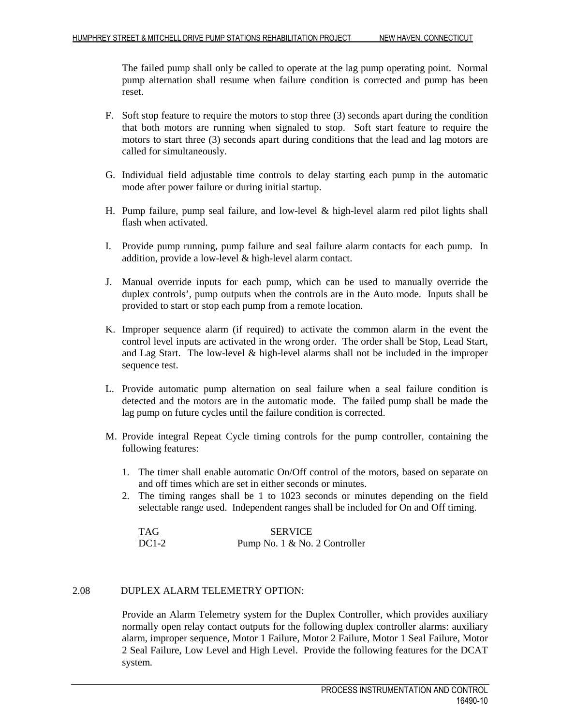The failed pump shall only be called to operate at the lag pump operating point. Normal pump alternation shall resume when failure condition is corrected and pump has been reset.

- F. Soft stop feature to require the motors to stop three (3) seconds apart during the condition that both motors are running when signaled to stop. Soft start feature to require the motors to start three (3) seconds apart during conditions that the lead and lag motors are called for simultaneously.
- G. Individual field adjustable time controls to delay starting each pump in the automatic mode after power failure or during initial startup.
- H. Pump failure, pump seal failure, and low-level & high-level alarm red pilot lights shall flash when activated.
- I. Provide pump running, pump failure and seal failure alarm contacts for each pump. In addition, provide a low-level & high-level alarm contact.
- J. Manual override inputs for each pump, which can be used to manually override the duplex controls', pump outputs when the controls are in the Auto mode. Inputs shall be provided to start or stop each pump from a remote location.
- K. Improper sequence alarm (if required) to activate the common alarm in the event the control level inputs are activated in the wrong order. The order shall be Stop, Lead Start, and Lag Start. The low-level & high-level alarms shall not be included in the improper sequence test.
- L. Provide automatic pump alternation on seal failure when a seal failure condition is detected and the motors are in the automatic mode. The failed pump shall be made the lag pump on future cycles until the failure condition is corrected.
- M. Provide integral Repeat Cycle timing controls for the pump controller, containing the following features:
	- 1. The timer shall enable automatic On/Off control of the motors, based on separate on and off times which are set in either seconds or minutes.
	- 2. The timing ranges shall be 1 to 1023 seconds or minutes depending on the field selectable range used. Independent ranges shall be included for On and Off timing.

| <b>TAG</b> | <b>SERVICE</b>                |  |
|------------|-------------------------------|--|
| $DC1-2$    | Pump No. 1 & No. 2 Controller |  |

# 2.08 DUPLEX ALARM TELEMETRY OPTION:

Provide an Alarm Telemetry system for the Duplex Controller, which provides auxiliary normally open relay contact outputs for the following duplex controller alarms: auxiliary alarm, improper sequence, Motor 1 Failure, Motor 2 Failure, Motor 1 Seal Failure, Motor 2 Seal Failure, Low Level and High Level. Provide the following features for the DCAT system.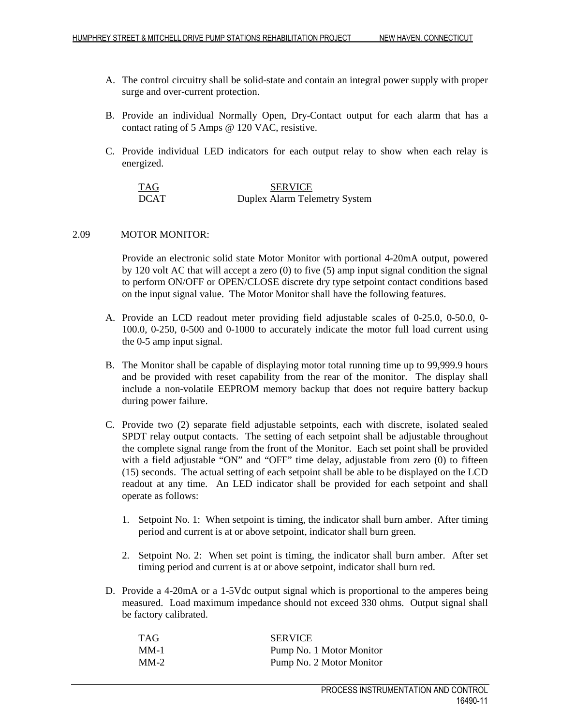- A. The control circuitry shall be solid-state and contain an integral power supply with proper surge and over-current protection.
- B. Provide an individual Normally Open, Dry-Contact output for each alarm that has a contact rating of 5 Amps @ 120 VAC, resistive.
- C. Provide individual LED indicators for each output relay to show when each relay is energized.

| TAG         | <b>SERVICE</b>                       |
|-------------|--------------------------------------|
| <b>DCAT</b> | <b>Duplex Alarm Telemetry System</b> |

# 2.09 MOTOR MONITOR:

Provide an electronic solid state Motor Monitor with portional 4-20mA output, powered by 120 volt AC that will accept a zero (0) to five (5) amp input signal condition the signal to perform ON/OFF or OPEN/CLOSE discrete dry type setpoint contact conditions based on the input signal value. The Motor Monitor shall have the following features.

- A. Provide an LCD readout meter providing field adjustable scales of 0-25.0, 0-50.0, 0- 100.0, 0-250, 0-500 and 0-1000 to accurately indicate the motor full load current using the 0-5 amp input signal.
- B. The Monitor shall be capable of displaying motor total running time up to 99,999.9 hours and be provided with reset capability from the rear of the monitor. The display shall include a non-volatile EEPROM memory backup that does not require battery backup during power failure.
- C. Provide two (2) separate field adjustable setpoints, each with discrete, isolated sealed SPDT relay output contacts. The setting of each setpoint shall be adjustable throughout the complete signal range from the front of the Monitor. Each set point shall be provided with a field adjustable "ON" and "OFF" time delay, adjustable from zero (0) to fifteen (15) seconds. The actual setting of each setpoint shall be able to be displayed on the LCD readout at any time. An LED indicator shall be provided for each setpoint and shall operate as follows:
	- 1. Setpoint No. 1: When setpoint is timing, the indicator shall burn amber. After timing period and current is at or above setpoint, indicator shall burn green.
	- 2. Setpoint No. 2: When set point is timing, the indicator shall burn amber. After set timing period and current is at or above setpoint, indicator shall burn red.
- D. Provide a 4-20mA or a 1-5Vdc output signal which is proportional to the amperes being measured. Load maximum impedance should not exceed 330 ohms. Output signal shall be factory calibrated.

| TAG    | <b>SERVICE</b>           |
|--------|--------------------------|
| $MM-1$ | Pump No. 1 Motor Monitor |
| $MM-2$ | Pump No. 2 Motor Monitor |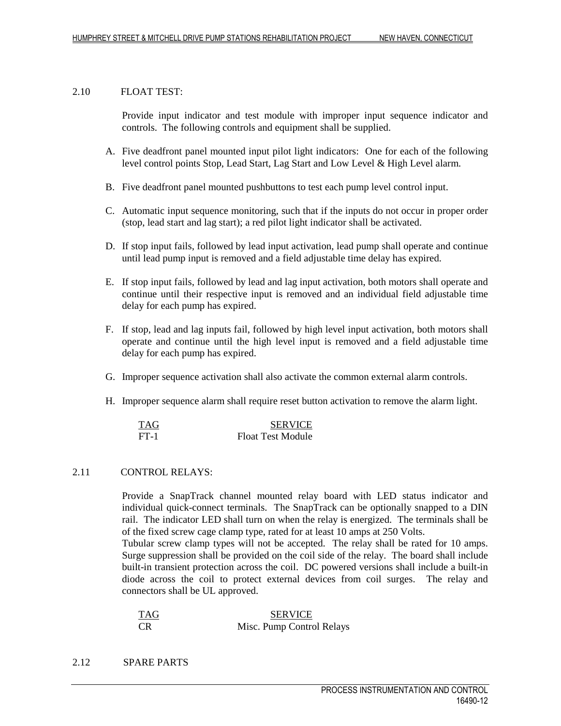#### 2.10 FLOAT TEST:

Provide input indicator and test module with improper input sequence indicator and controls. The following controls and equipment shall be supplied.

- A. Five deadfront panel mounted input pilot light indicators: One for each of the following level control points Stop, Lead Start, Lag Start and Low Level & High Level alarm.
- B. Five deadfront panel mounted pushbuttons to test each pump level control input.
- C. Automatic input sequence monitoring, such that if the inputs do not occur in proper order (stop, lead start and lag start); a red pilot light indicator shall be activated.
- D. If stop input fails, followed by lead input activation, lead pump shall operate and continue until lead pump input is removed and a field adjustable time delay has expired.
- E. If stop input fails, followed by lead and lag input activation, both motors shall operate and continue until their respective input is removed and an individual field adjustable time delay for each pump has expired.
- F. If stop, lead and lag inputs fail, followed by high level input activation, both motors shall operate and continue until the high level input is removed and a field adjustable time delay for each pump has expired.
- G. Improper sequence activation shall also activate the common external alarm controls.
- H. Improper sequence alarm shall require reset button activation to remove the alarm light.

| <b>TAG</b> | <b>SERVICE</b>           |
|------------|--------------------------|
| $FT-1$     | <b>Float Test Module</b> |

#### 2.11 CONTROL RELAYS:

Provide a SnapTrack channel mounted relay board with LED status indicator and individual quick-connect terminals. The SnapTrack can be optionally snapped to a DIN rail. The indicator LED shall turn on when the relay is energized. The terminals shall be of the fixed screw cage clamp type, rated for at least 10 amps at 250 Volts.

Tubular screw clamp types will not be accepted. The relay shall be rated for 10 amps. Surge suppression shall be provided on the coil side of the relay. The board shall include built-in transient protection across the coil. DC powered versions shall include a built-in diode across the coil to protect external devices from coil surges. The relay and connectors shall be UL approved.

| TAG | <b>SERVICE</b>            |
|-----|---------------------------|
|     | Misc. Pump Control Relays |

2.12 SPARE PARTS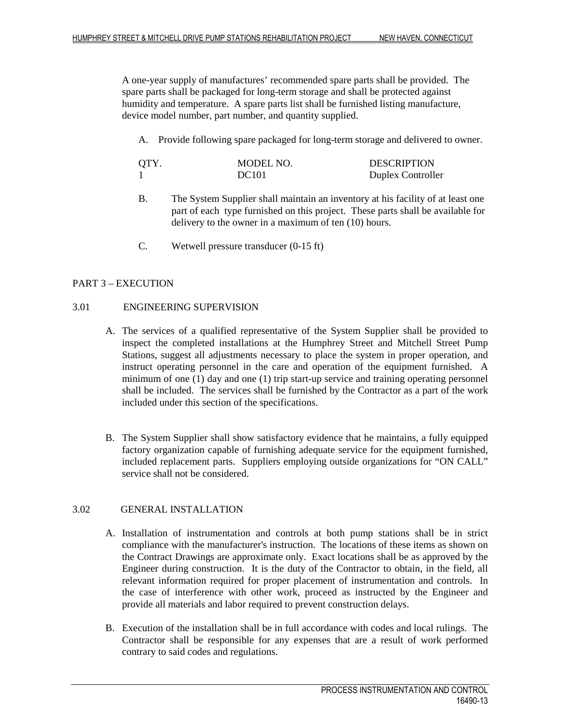A one-year supply of manufactures' recommended spare parts shall be provided. The spare parts shall be packaged for long-term storage and shall be protected against humidity and temperature. A spare parts list shall be furnished listing manufacture, device model number, part number, and quantity supplied.

A. Provide following spare packaged for long-term storage and delivered to owner.

| QTY. | MODEL NO.    | <b>DESCRIPTION</b> |
|------|--------------|--------------------|
|      | <b>DC101</b> | Duplex Controller  |

- B. The System Supplier shall maintain an inventory at his facility of at least one part of each type furnished on this project. These parts shall be available for delivery to the owner in a maximum of ten (10) hours.
- C. Wetwell pressure transducer (0-15 ft)

# PART 3 – EXECUTION

# 3.01 ENGINEERING SUPERVISION

- A. The services of a qualified representative of the System Supplier shall be provided to inspect the completed installations at the Humphrey Street and Mitchell Street Pump Stations, suggest all adjustments necessary to place the system in proper operation, and instruct operating personnel in the care and operation of the equipment furnished. A minimum of one (1) day and one (1) trip start-up service and training operating personnel shall be included. The services shall be furnished by the Contractor as a part of the work included under this section of the specifications.
- B. The System Supplier shall show satisfactory evidence that he maintains, a fully equipped factory organization capable of furnishing adequate service for the equipment furnished, included replacement parts. Suppliers employing outside organizations for "ON CALL" service shall not be considered.

# 3.02 GENERAL INSTALLATION

- A. Installation of instrumentation and controls at both pump stations shall be in strict compliance with the manufacturer's instruction. The locations of these items as shown on the Contract Drawings are approximate only. Exact locations shall be as approved by the Engineer during construction. It is the duty of the Contractor to obtain, in the field, all relevant information required for proper placement of instrumentation and controls. In the case of interference with other work, proceed as instructed by the Engineer and provide all materials and labor required to prevent construction delays.
- B. Execution of the installation shall be in full accordance with codes and local rulings. The Contractor shall be responsible for any expenses that are a result of work performed contrary to said codes and regulations.